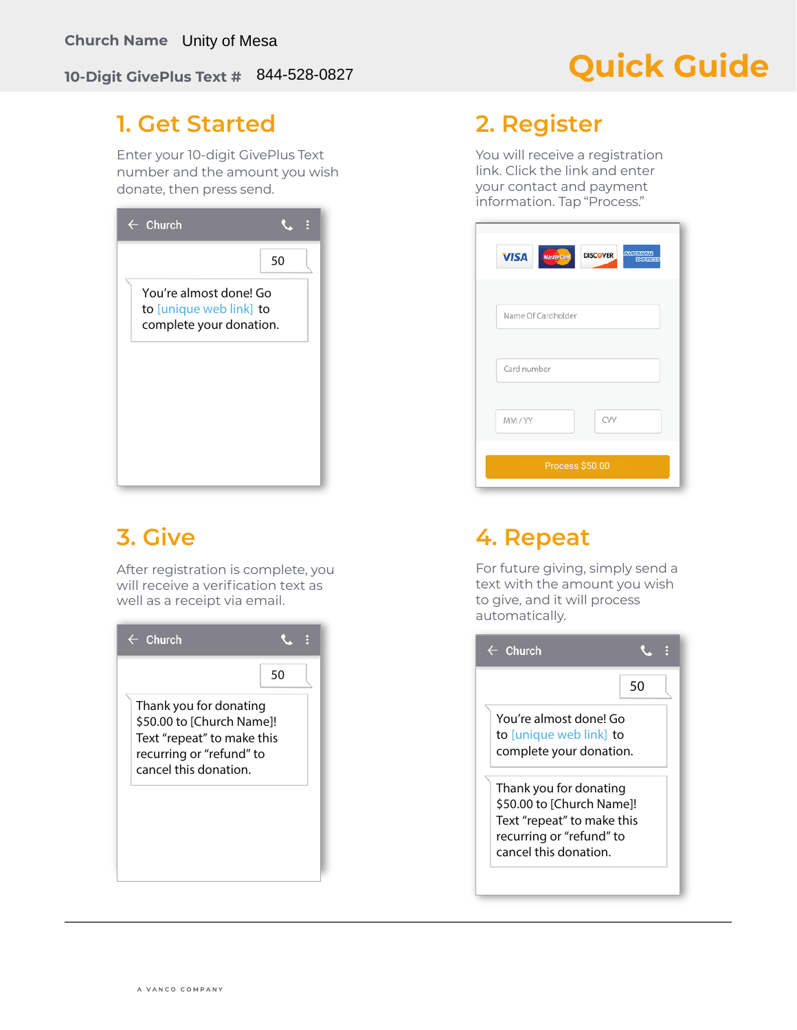### **10-Digit GivePlus Text #**  844-528-0827

# **Quick Guide**

### **1. Get Started**

Enter your 10-digit GivePlus Text number and the amount you wish donate, then press send.

| $\leftarrow$ Church                                                          |    |
|------------------------------------------------------------------------------|----|
|                                                                              | 50 |
| You're almost done! Go<br>to [unique web link] to<br>complete your donation. |    |
|                                                                              |    |
|                                                                              |    |
|                                                                              |    |

## **3. Give**

After registration is complete, you will receive a verification text as well as a receipt via email.



### **2. Register**

You will receive a registration link. Click the link and enter your contact and payment information. Tap "Process."

| Name Of Cardholder |     |
|--------------------|-----|
| Card number        |     |
| MM/YY              | CVV |
| Process \$50.00    |     |

## **4. Repeat**

For future giving, simply send a text with the amount you wish to give, and it will process automatically.